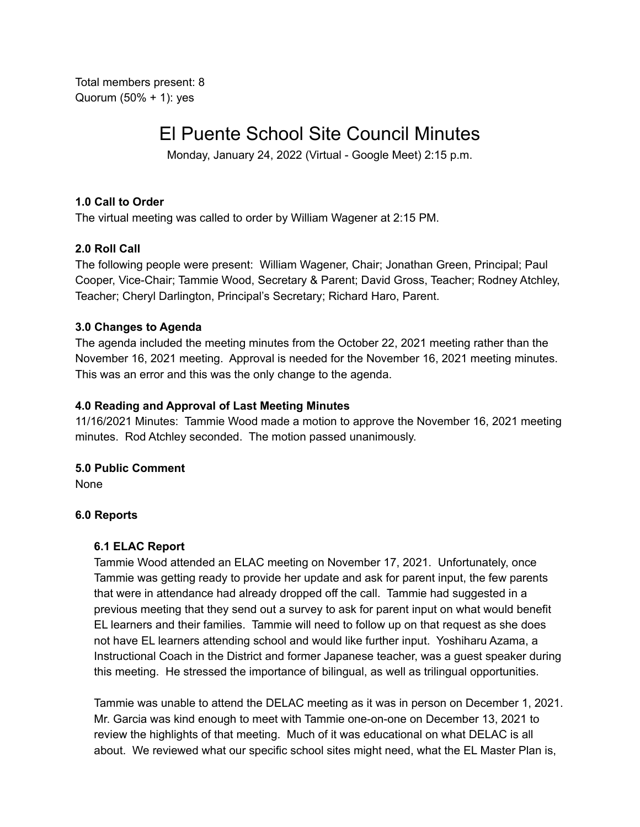Total members present: 8 Quorum (50% + 1): yes

# El Puente School Site Council Minutes

Monday, January 24, 2022 (Virtual - Google Meet) 2:15 p.m.

#### **1.0 Call to Order**

The virtual meeting was called to order by William Wagener at 2:15 PM.

## **2.0 Roll Call**

The following people were present: William Wagener, Chair; Jonathan Green, Principal; Paul Cooper, Vice-Chair; Tammie Wood, Secretary & Parent; David Gross, Teacher; Rodney Atchley, Teacher; Cheryl Darlington, Principal's Secretary; Richard Haro, Parent.

## **3.0 Changes to Agenda**

The agenda included the meeting minutes from the October 22, 2021 meeting rather than the November 16, 2021 meeting. Approval is needed for the November 16, 2021 meeting minutes. This was an error and this was the only change to the agenda.

## **4.0 Reading and Approval of Last Meeting Minutes**

11/16/2021 Minutes: Tammie Wood made a motion to approve the November 16, 2021 meeting minutes. Rod Atchley seconded. The motion passed unanimously.

# **5.0 Public Comment**

None

#### **6.0 Reports**

#### **6.1 ELAC Report**

Tammie Wood attended an ELAC meeting on November 17, 2021. Unfortunately, once Tammie was getting ready to provide her update and ask for parent input, the few parents that were in attendance had already dropped off the call. Tammie had suggested in a previous meeting that they send out a survey to ask for parent input on what would benefit EL learners and their families. Tammie will need to follow up on that request as she does not have EL learners attending school and would like further input. Yoshiharu Azama, a Instructional Coach in the District and former Japanese teacher, was a guest speaker during this meeting. He stressed the importance of bilingual, as well as trilingual opportunities.

Tammie was unable to attend the DELAC meeting as it was in person on December 1, 2021. Mr. Garcia was kind enough to meet with Tammie one-on-one on December 13, 2021 to review the highlights of that meeting. Much of it was educational on what DELAC is all about. We reviewed what our specific school sites might need, what the EL Master Plan is,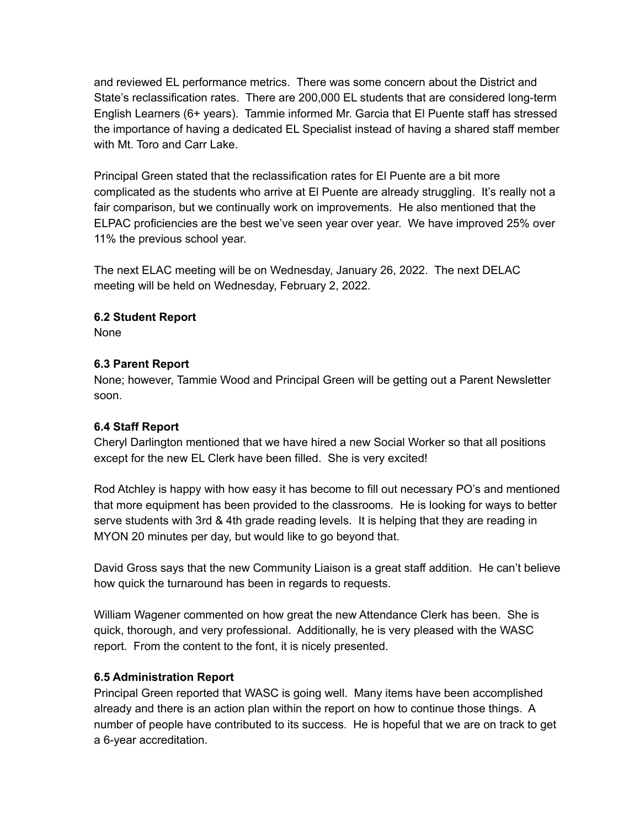and reviewed EL performance metrics. There was some concern about the District and State's reclassification rates. There are 200,000 EL students that are considered long-term English Learners (6+ years). Tammie informed Mr. Garcia that El Puente staff has stressed the importance of having a dedicated EL Specialist instead of having a shared staff member with Mt. Toro and Carr Lake.

Principal Green stated that the reclassification rates for El Puente are a bit more complicated as the students who arrive at El Puente are already struggling. It's really not a fair comparison, but we continually work on improvements. He also mentioned that the ELPAC proficiencies are the best we've seen year over year. We have improved 25% over 11% the previous school year.

The next ELAC meeting will be on Wednesday, January 26, 2022. The next DELAC meeting will be held on Wednesday, February 2, 2022.

## **6.2 Student Report**

None

## **6.3 Parent Report**

None; however, Tammie Wood and Principal Green will be getting out a Parent Newsletter soon.

# **6.4 Staff Report**

Cheryl Darlington mentioned that we have hired a new Social Worker so that all positions except for the new EL Clerk have been filled. She is very excited!

Rod Atchley is happy with how easy it has become to fill out necessary PO's and mentioned that more equipment has been provided to the classrooms. He is looking for ways to better serve students with 3rd & 4th grade reading levels. It is helping that they are reading in MYON 20 minutes per day, but would like to go beyond that.

David Gross says that the new Community Liaison is a great staff addition. He can't believe how quick the turnaround has been in regards to requests.

William Wagener commented on how great the new Attendance Clerk has been. She is quick, thorough, and very professional. Additionally, he is very pleased with the WASC report. From the content to the font, it is nicely presented.

# **6.5 Administration Report**

Principal Green reported that WASC is going well. Many items have been accomplished already and there is an action plan within the report on how to continue those things. A number of people have contributed to its success. He is hopeful that we are on track to get a 6-year accreditation.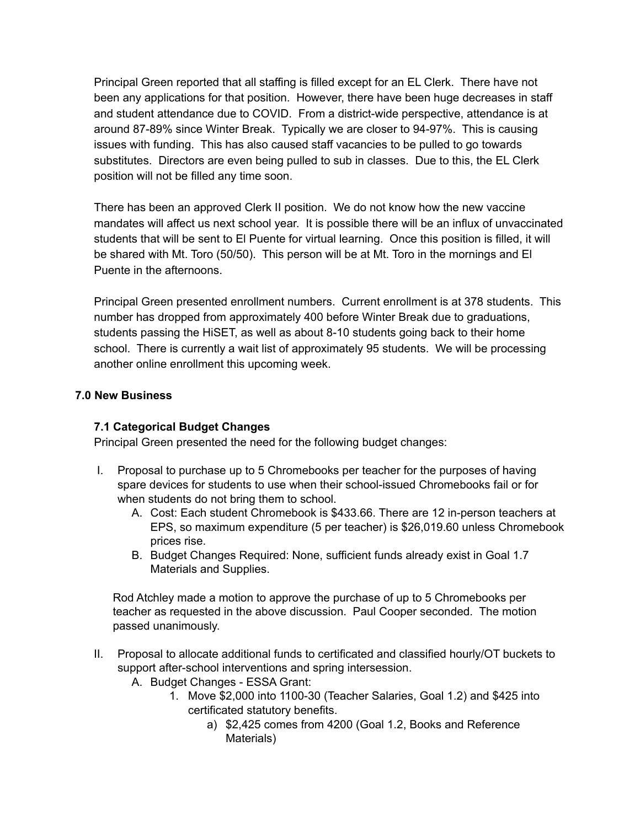Principal Green reported that all staffing is filled except for an EL Clerk. There have not been any applications for that position. However, there have been huge decreases in staff and student attendance due to COVID. From a district-wide perspective, attendance is at around 87-89% since Winter Break. Typically we are closer to 94-97%. This is causing issues with funding. This has also caused staff vacancies to be pulled to go towards substitutes. Directors are even being pulled to sub in classes. Due to this, the EL Clerk position will not be filled any time soon.

There has been an approved Clerk II position. We do not know how the new vaccine mandates will affect us next school year. It is possible there will be an influx of unvaccinated students that will be sent to El Puente for virtual learning. Once this position is filled, it will be shared with Mt. Toro (50/50). This person will be at Mt. Toro in the mornings and El Puente in the afternoons.

Principal Green presented enrollment numbers. Current enrollment is at 378 students. This number has dropped from approximately 400 before Winter Break due to graduations, students passing the HiSET, as well as about 8-10 students going back to their home school. There is currently a wait list of approximately 95 students. We will be processing another online enrollment this upcoming week.

## **7.0 New Business**

# **7.1 Categorical Budget Changes**

Principal Green presented the need for the following budget changes:

- I. Proposal to purchase up to 5 Chromebooks per teacher for the purposes of having spare devices for students to use when their school-issued Chromebooks fail or for when students do not bring them to school.
	- A. Cost: Each student Chromebook is \$433.66. There are 12 in-person teachers at EPS, so maximum expenditure (5 per teacher) is \$26,019.60 unless Chromebook prices rise.
	- B. Budget Changes Required: None, sufficient funds already exist in Goal 1.7 Materials and Supplies.

Rod Atchley made a motion to approve the purchase of up to 5 Chromebooks per teacher as requested in the above discussion. Paul Cooper seconded. The motion passed unanimously.

- II. Proposal to allocate additional funds to certificated and classified hourly/OT buckets to support after-school interventions and spring intersession.
	- A. Budget Changes ESSA Grant:
		- 1. Move \$2,000 into 1100-30 (Teacher Salaries, Goal 1.2) and \$425 into certificated statutory benefits.
			- a) \$2,425 comes from 4200 (Goal 1.2, Books and Reference Materials)